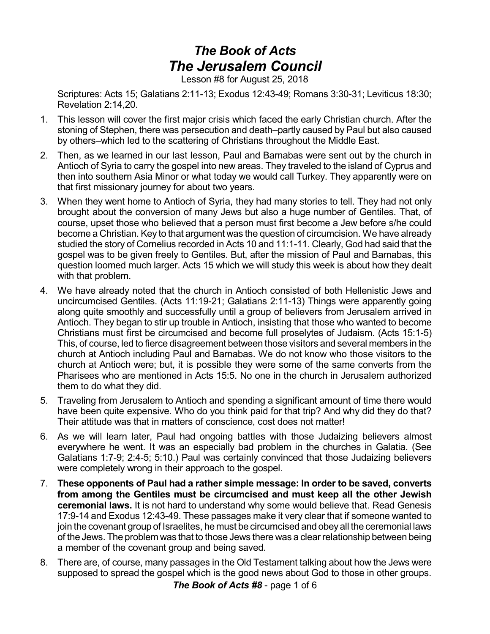## *The Book of Acts The Jerusalem Council*

Lesson #8 for August 25, 2018

Scriptures: Acts 15; Galatians 2:11-13; Exodus 12:43-49; Romans 3:30-31; Leviticus 18:30; Revelation 2:14,20.

- 1. This lesson will cover the first major crisis which faced the early Christian church. After the stoning of Stephen, there was persecution and death–partly caused by Paul but also caused by others–which led to the scattering of Christians throughout the Middle East.
- 2. Then, as we learned in our last lesson, Paul and Barnabas were sent out by the church in Antioch of Syria to carry the gospel into new areas. They traveled to the island of Cyprus and then into southern Asia Minor or what today we would call Turkey. They apparently were on that first missionary journey for about two years.
- 3. When they went home to Antioch of Syria, they had many stories to tell. They had not only brought about the conversion of many Jews but also a huge number of Gentiles. That, of course, upset those who believed that a person must first become a Jew before s/he could become a Christian. Key to that argument was the question of circumcision. We have already studied the story of Cornelius recorded in Acts 10 and 11:1-11. Clearly, God had said that the gospel was to be given freely to Gentiles. But, after the mission of Paul and Barnabas, this question loomed much larger. Acts 15 which we will study this week is about how they dealt with that problem.
- 4. We have already noted that the church in Antioch consisted of both Hellenistic Jews and uncircumcised Gentiles. (Acts 11:19-21; Galatians 2:11-13) Things were apparently going along quite smoothly and successfully until a group of believers from Jerusalem arrived in Antioch. They began to stir up trouble in Antioch, insisting that those who wanted to become Christians must first be circumcised and become full proselytes of Judaism. (Acts 15:1-5) This, of course, led to fierce disagreement between those visitors and several members in the church at Antioch including Paul and Barnabas. We do not know who those visitors to the church at Antioch were; but, it is possible they were some of the same converts from the Pharisees who are mentioned in Acts 15:5. No one in the church in Jerusalem authorized them to do what they did.
- 5. Traveling from Jerusalem to Antioch and spending a significant amount of time there would have been quite expensive. Who do you think paid for that trip? And why did they do that? Their attitude was that in matters of conscience, cost does not matter!
- 6. As we will learn later, Paul had ongoing battles with those Judaizing believers almost everywhere he went. It was an especially bad problem in the churches in Galatia. (See Galatians 1:7-9; 2:4-5; 5:10.) Paul was certainly convinced that those Judaizing believers were completely wrong in their approach to the gospel.
- 7. **These opponents of Paul had a rather simple message: In order to be saved, converts from among the Gentiles must be circumcised and must keep all the other Jewish ceremonial laws.** It is not hard to understand why some would believe that. Read Genesis 17:9-14 and Exodus 12:43-49. These passages make it very clear that if someone wanted to join the covenant group of Israelites, he must be circumcised and obeyall the ceremonial laws of the Jews. The problem was that to those Jews there was a clear relationship between being a member of the covenant group and being saved.
- 8. There are, of course, many passages in the Old Testament talking about how the Jews were supposed to spread the gospel which is the good news about God to those in other groups.

*The Book of Acts #8* - page 1 of 6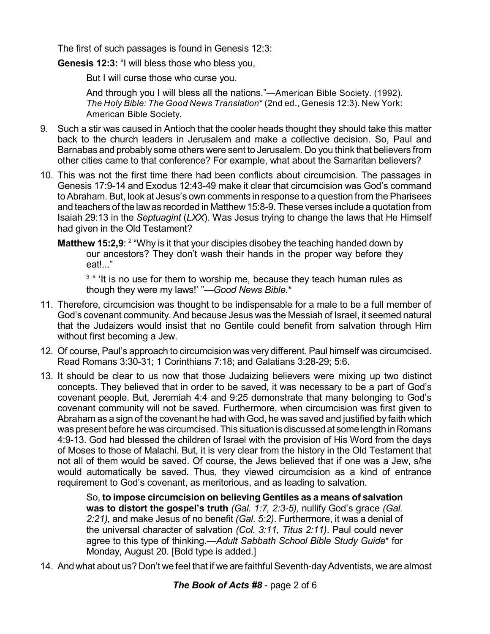The first of such passages is found in Genesis 12:3:

**Genesis 12:3:** "I will bless those who bless you,

But I will curse those who curse you.

And through you I will bless all the nations."—American Bible Society. (1992). *The Holy Bible: The Good News Translation*\* (2nd ed., Genesis 12:3). New York: American Bible Society*.*

- 9. Such a stir was caused in Antioch that the cooler heads thought they should take this matter back to the church leaders in Jerusalem and make a collective decision. So, Paul and Barnabas and probably some others were sent to Jerusalem. Do you think that believers from other cities came to that conference? For example, what about the Samaritan believers?
- 10. This was not the first time there had been conflicts about circumcision. The passages in Genesis 17:9-14 and Exodus 12:43-49 make it clear that circumcision was God's command to Abraham. But, look at Jesus's own comments in response to a question from the Pharisees and teachers of the lawas recorded in Matthew15:8-9.These verses include a quotation from Isaiah 29:13 in the *Septuagint* (*LXX*). Was Jesus trying to change the laws that He Himself had given in the Old Testament?
	- **Matthew 15:2,9**: <sup>2</sup> "Why is it that your disciples disobey the teaching handed down by our ancestors? They don't wash their hands in the proper way before they eat!..."

<sup>9</sup> " 'It is no use for them to worship me, because they teach human rules as though they were my laws!' "—*Good News Bible.*\*

- 11. Therefore, circumcision was thought to be indispensable for a male to be a full member of God's covenant community. And because Jesus was the Messiah of Israel, it seemed natural that the Judaizers would insist that no Gentile could benefit from salvation through Him without first becoming a Jew.
- 12. Of course, Paul's approach to circumcision was very different. Paul himself was circumcised. Read Romans 3:30-31; 1 Corinthians 7:18; and Galatians 3:28-29; 5:6.
- 13. It should be clear to us now that those Judaizing believers were mixing up two distinct concepts. They believed that in order to be saved, it was necessary to be a part of God's covenant people. But, Jeremiah 4:4 and 9:25 demonstrate that many belonging to God's covenant community will not be saved. Furthermore, when circumcision was first given to Abraham as a sign of the covenant he had with God, he was saved and justified by faith which was present before he was circumcised. This situation is discussed at some length in Romans 4:9-13. God had blessed the children of Israel with the provision of His Word from the days of Moses to those of Malachi. But, it is very clear from the history in the Old Testament that not all of them would be saved. Of course, the Jews believed that if one was a Jew, s/he would automatically be saved. Thus, they viewed circumcision as a kind of entrance requirement to God's covenant, as meritorious, and as leading to salvation.

So, **to impose circumcision on believing Gentiles as a means of salvation was to distort the gospel's truth** *(Gal. 1:7, 2:3-5),* nullify God's grace *(Gal. 2:21),* and make Jesus of no benefit *(Gal. 5:2)*. Furthermore, it was a denial of the universal character of salvation *(Col. 3:11, Titus 2:11)*. Paul could never agree to this type of thinking.—*Adult Sabbath School Bible Study Guide*\* for Monday, August 20. [Bold type is added.]

14. And what about us? Don't we feel that if we are faithful Seventh-day Adventists, we are almost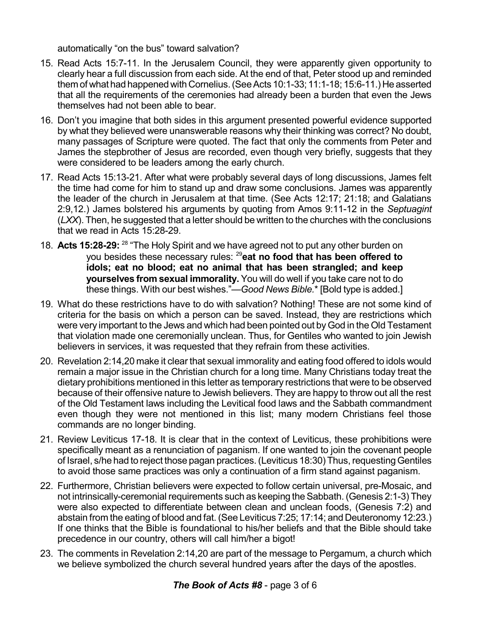automatically "on the bus" toward salvation?

- 15. Read Acts 15:7-11. In the Jerusalem Council, they were apparently given opportunity to clearly hear a full discussion from each side. At the end of that, Peter stood up and reminded them of what had happened with Cornelius. (See Acts 10:1-33; 11:1-18; 15:6-11.) He asserted that all the requirements of the ceremonies had already been a burden that even the Jews themselves had not been able to bear.
- 16. Don't you imagine that both sides in this argument presented powerful evidence supported by what they believed were unanswerable reasons why their thinking was correct? No doubt, many passages of Scripture were quoted. The fact that only the comments from Peter and James the stepbrother of Jesus are recorded, even though very briefly, suggests that they were considered to be leaders among the early church.
- 17. Read Acts 15:13-21. After what were probably several days of long discussions, James felt the time had come for him to stand up and draw some conclusions. James was apparently the leader of the church in Jerusalem at that time. (See Acts 12:17; 21:18; and Galatians 2:9,12.) James bolstered his arguments by quoting from Amos 9:11-12 in the *Septuagint* (*LXX*). Then, he suggested that a letter should be written to the churches with the conclusions that we read in Acts 15:28-29.
- 18. Acts 15:28-29: <sup>28</sup> "The Holy Spirit and we have agreed not to put any other burden on you besides these necessary rules: <sup>29</sup>**eat no food that has been offered to idols; eat no blood; eat no animal that has been strangled; and keep yourselves from sexual immorality.** You will do well if you take care not to do these things. With our best wishes."—*Good News Bible.*\* [Bold type is added.]
- 19. What do these restrictions have to do with salvation? Nothing! These are not some kind of criteria for the basis on which a person can be saved. Instead, they are restrictions which were very important to the Jews and which had been pointed out byGod in the Old Testament that violation made one ceremonially unclean. Thus, for Gentiles who wanted to join Jewish believers in services, it was requested that they refrain from these activities.
- 20. Revelation 2:14,20 make it clear that sexual immorality and eating food offered to idols would remain a major issue in the Christian church for a long time. Many Christians today treat the dietary prohibitions mentioned in this letter as temporary restrictions that were to be observed because of their offensive nature to Jewish believers. They are happy to throw out all the rest of the Old Testament laws including the Levitical food laws and the Sabbath commandment even though they were not mentioned in this list; many modern Christians feel those commands are no longer binding.
- 21. Review Leviticus 17-18. It is clear that in the context of Leviticus, these prohibitions were specifically meant as a renunciation of paganism. If one wanted to join the covenant people of Israel, s/he had to reject those pagan practices. (Leviticus 18:30) Thus, requesting Gentiles to avoid those same practices was only a continuation of a firm stand against paganism.
- 22. Furthermore, Christian believers were expected to follow certain universal, pre-Mosaic, and not intrinsically-ceremonial requirements such as keeping the Sabbath. (Genesis 2:1-3) They were also expected to differentiate between clean and unclean foods, (Genesis 7:2) and abstain from the eating of blood and fat. (See Leviticus 7:25; 17:14; and Deuteronomy 12:23.) If one thinks that the Bible is foundational to his/her beliefs and that the Bible should take precedence in our country, others will call him/her a bigot!
- 23. The comments in Revelation 2:14,20 are part of the message to Pergamum, a church which we believe symbolized the church several hundred years after the days of the apostles.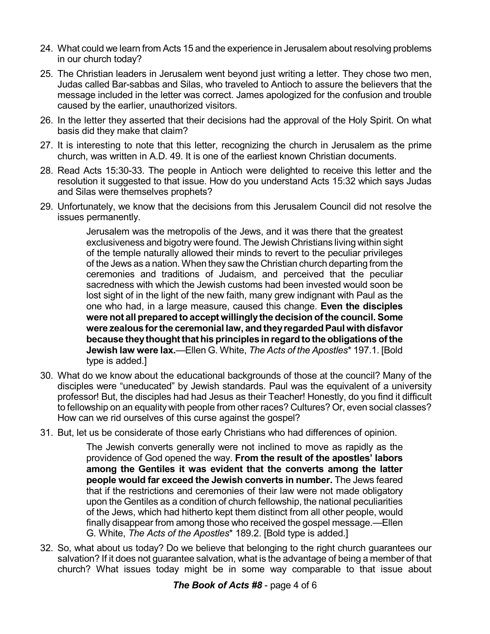- 24. What could we learn from Acts 15 and the experience in Jerusalem about resolving problems in our church today?
- 25. The Christian leaders in Jerusalem went beyond just writing a letter. They chose two men, Judas called Bar-sabbas and Silas, who traveled to Antioch to assure the believers that the message included in the letter was correct. James apologized for the confusion and trouble caused by the earlier, unauthorized visitors.
- 26. In the letter they asserted that their decisions had the approval of the Holy Spirit. On what basis did they make that claim?
- 27. It is interesting to note that this letter, recognizing the church in Jerusalem as the prime church, was written in A.D. 49. It is one of the earliest known Christian documents.
- 28. Read Acts 15:30-33. The people in Antioch were delighted to receive this letter and the resolution it suggested to that issue. How do you understand Acts 15:32 which says Judas and Silas were themselves prophets?
- 29. Unfortunately, we know that the decisions from this Jerusalem Council did not resolve the issues permanently.

Jerusalem was the metropolis of the Jews, and it was there that the greatest exclusiveness and bigotry were found. The Jewish Christians living within sight of the temple naturally allowed their minds to revert to the peculiar privileges of the Jews as a nation. When they saw the Christian church departing from the ceremonies and traditions of Judaism, and perceived that the peculiar sacredness with which the Jewish customs had been invested would soon be lost sight of in the light of the new faith, many grew indignant with Paul as the one who had, in a large measure, caused this change. **Even the disciples were not all prepared to accept willinglythe decision of the council. Some were zealous forthe ceremonial law, andtheyregardedPaul withdisfavor because theythoughtthat his principles inregardtothe obligations ofthe Jewish law were lax.**—Ellen G. White, *The Acts of the Apostles*\* 197.1. [Bold type is added.]

- 30. What do we know about the educational backgrounds of those at the council? Many of the disciples were "uneducated" by Jewish standards. Paul was the equivalent of a university professor! But, the disciples had had Jesus as their Teacher! Honestly, do you find it difficult to fellowship on an equality with people from other races? Cultures? Or, even social classes? How can we rid ourselves of this curse against the gospel?
- 31. But, let us be considerate of those early Christians who had differences of opinion.

The Jewish converts generally were not inclined to move as rapidly as the providence of God opened the way. **From the result of the apostles' labors among the Gentiles it was evident that the converts among the latter people would far exceed the Jewish converts in number.** The Jews feared that if the restrictions and ceremonies of their law were not made obligatory upon the Gentiles as a condition of church fellowship, the national peculiarities of the Jews, which had hitherto kept them distinct from all other people, would finally disappear from among those who received the gospel message.—Ellen G. White, *The Acts of the Apostles*\* 189.2. [Bold type is added.]

32. So, what about us today? Do we believe that belonging to the right church guarantees our salvation? If it does not guarantee salvation, what is the advantage of being a member of that church? What issues today might be in some way comparable to that issue about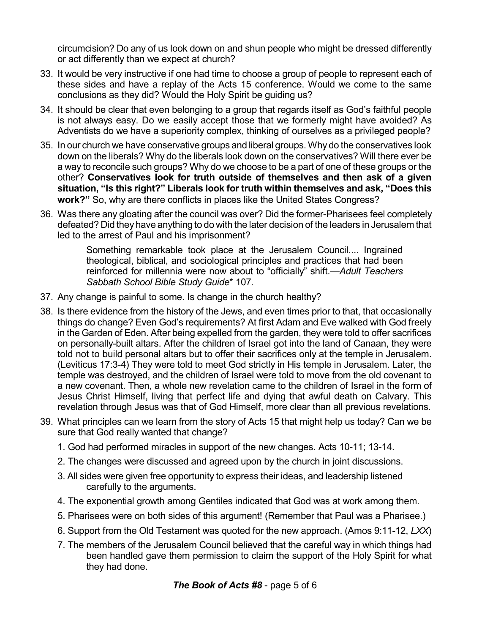circumcision? Do any of us look down on and shun people who might be dressed differently or act differently than we expect at church?

- 33. It would be very instructive if one had time to choose a group of people to represent each of these sides and have a replay of the Acts 15 conference. Would we come to the same conclusions as they did? Would the Holy Spirit be guiding us?
- 34. It should be clear that even belonging to a group that regards itself as God's faithful people is not always easy. Do we easily accept those that we formerly might have avoided? As Adventists do we have a superiority complex, thinking of ourselves as a privileged people?
- 35. In our church we have conservative groups and liberal groups. Why do the conservatives look down on the liberals? Why do the liberals look down on the conservatives? Will there ever be a way to reconcile such groups? Why do we choose to be a part of one of these groups or the other? **Conservatives look for truth outside of themselves and then ask of a given situation, "Is this right?" Liberals look for truth within themselves and ask, "Does this work?"** So, why are there conflicts in places like the United States Congress?
- 36. Was there any gloating after the council was over? Did the former-Pharisees feel completely defeated? Did they have anything to do with the later decision of the leaders in Jerusalem that led to the arrest of Paul and his imprisonment?

Something remarkable took place at the Jerusalem Council.... Ingrained theological, biblical, and sociological principles and practices that had been reinforced for millennia were now about to "officially" shift.—*Adult Teachers Sabbath School Bible Study Guide*\* 107.

- 37. Any change is painful to some. Is change in the church healthy?
- 38. Is there evidence from the history of the Jews, and even times prior to that, that occasionally things do change? Even God's requirements? At first Adam and Eve walked with God freely in the Garden of Eden. After being expelled from the garden, they were told to offer sacrifices on personally-built altars. After the children of Israel got into the land of Canaan, they were told not to build personal altars but to offer their sacrifices only at the temple in Jerusalem. (Leviticus 17:3-4) They were told to meet God strictly in His temple in Jerusalem. Later, the temple was destroyed, and the children of Israel were told to move from the old covenant to a new covenant. Then, a whole new revelation came to the children of Israel in the form of Jesus Christ Himself, living that perfect life and dying that awful death on Calvary. This revelation through Jesus was that of God Himself, more clear than all previous revelations.
- 39. What principles can we learn from the story of Acts 15 that might help us today? Can we be sure that God really wanted that change?
	- 1. God had performed miracles in support of the new changes. Acts 10-11; 13-14.
	- 2. The changes were discussed and agreed upon by the church in joint discussions.
	- 3. All sides were given free opportunity to express their ideas, and leadership listened carefully to the arguments.
	- 4. The exponential growth among Gentiles indicated that God was at work among them.
	- 5. Pharisees were on both sides of this argument! (Remember that Paul was a Pharisee.)
	- 6. Support from the Old Testament was quoted for the new approach. (Amos 9:11-12, *LXX*)
	- 7. The members of the Jerusalem Council believed that the careful way in which things had been handled gave them permission to claim the support of the Holy Spirit for what they had done.

*The Book of Acts #8* - page 5 of 6